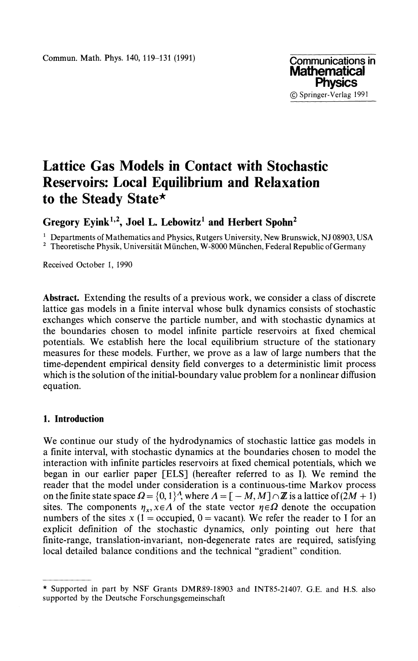

# **Lattice Gas Models in Contact with Stochastic Reservoirs: Local Equilibrium and Relaxation to the Steady State\***

**Gregory Eyink<sup>1</sup> ' 2 , Joel L. Lebowitz<sup>1</sup> and Herbert Spohn<sup>2</sup>**

<sup>1</sup> Departments of Mathematics and Physics, Rutgers University, New Brunswick, NJ 08903, USA <sup>2</sup> Theoretische Physik, Universität München, W-8000 München, Federal Republic of Germany

Received October 1, 1990

**Abstract.** Extending the results of a previous work, we consider a class of discrete lattice gas models in a finite interval whose bulk dynamics consists of stochastic exchanges which conserve the particle number, and with stochastic dynamics at the boundaries chosen to model infinite particle reservoirs at fixed chemical potentials. We establish here the local equilibrium structure of the stationary measures for these models. Further, we prove as a law of large numbers that the time-dependent empirical density field converges to a deterministic limit process which is the solution of the initial-boundary value problem for a nonlinear diffusion equation.

## **1. Introduction**

We continue our study of the hydrodynamics of stochastic lattice gas models in a finite interval, with stochastic dynamics at the boundaries chosen to model the interaction with infinite particles reservoirs at fixed chemical potentials, which we began in our earlier paper [ELS] (hereafter referred to as I). We remind the reader that the model under consideration is a continuous-time Markov process on the finite state space  $\Omega = \{0,1\}^{\Lambda}$ , where  $\Lambda = [-M, M] \cap \mathbb{Z}$  is a lattice of  $(2M + 1)$ sites. The components  $\eta_x$ ,  $x \in A$  of the state vector  $\eta \in \Omega$  denote the occupation numbers of the sites  $x$  (1 = occupied, 0 = vacant). We refer the reader to I for an explicit definition of the stochastic dynamics, only pointing out here that finite-range, translation-invariant, non-degenerate rates are required, satisfying local detailed balance conditions and the technical "gradient" condition.

<sup>\*</sup> Supported in part by NSF Grants DMR89-18903 and INT85-21407. G.E. and H.S. also supported by the Deutsche Forschungsgemeinschaft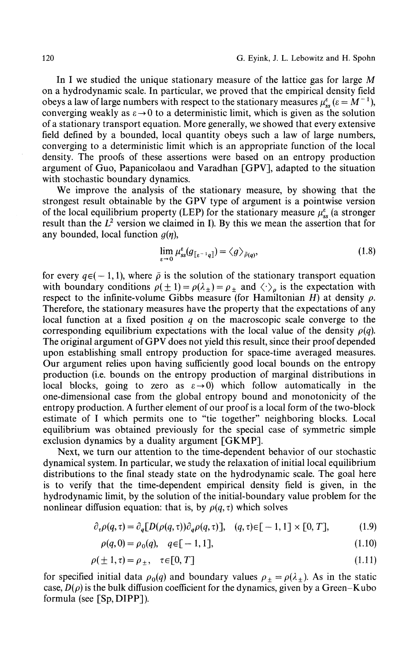In I we studied the unique stationary measure of the lattice gas for large *M* on a hydrodynamic scale. In particular, we proved that the empirical density field obeys a law of large numbers with respect to the stationary measures  $\mu_{ss}^{\varepsilon}$  ( $\varepsilon = M^{-1}$ ), converging weakly as  $\varepsilon \to 0$  to a deterministic limit, which is given as the solution of a stationary transport equation. More generally, we showed that every extensive field defined by a bounded, local quantity obeys such a law of large numbers, converging to a deterministic limit which is an appropriate function of the local density. The proofs of these assertions were based on an entropy production argument of Guo, Papanicolaou and Varadhan [GPV], adapted to the situation with stochastic boundary dynamics.

We improve the analysis of the stationary measure, by showing that the strongest result obtainable by the GPV type of argument is a pointwise version of the local equilibrium property (LEP) for the stationary measure  $\mu_{ss}^{\varepsilon}$  (a stronger result than the  $L^2$  version we claimed in I). By this we mean the assertion that for any bounded, local function *g(η\*

$$
\lim_{\varepsilon \to 0} \mu_{ss}^{\varepsilon}(g_{\lbrack \varepsilon^{-1}q \rbrack}) = \langle g \rangle_{\bar{\rho}(q)},\tag{1.8}
$$

for every  $q\in(-1,1)$ , where  $\bar{\rho}$  is the solution of the stationary transport equation with boundary conditions  $\rho(\pm 1) = \rho(\lambda_{\pm}) = \rho_{\pm}$  and  $\langle \cdot \rangle_{\rho}$  is the expectation with respect to the infinite-volume Gibbs measure (for Hamiltonian *H*) at density  $\rho$ . Therefore, the stationary measures have the property that the expectations of any local function at a fixed position *q* on the macroscopic scale converge to the corresponding equilibrium expectations with the local value of the density  $p(q)$ . The original argument of GPV does not yield this result, since their proof depended upon establishing small entropy production for space-time averaged measures. Our argument relies upon having sufficiently good local bounds on the entropy production (i.e. bounds on the entropy production of marginal distributions in local blocks, going to zero as  $\varepsilon \rightarrow 0$ ) which follow automatically in the one-dimensional case from the global entropy bound and monotonicity of the entropy production. A further element of our proof is a local form of the two-block estimate of I which permits one to "tie together" neighboring blocks. Local equilibrium was obtained previously for the special case of symmetric simple exclusion dynamics by a duality argument [GKMP].

Next, we turn our attention to the time-dependent behavior of our stochastic dynamical system. In particular, we study the relaxation of initial local equilibrium distributions to the final steady state on the hydrodynamic scale. The goal here is to verify that the time-dependent empirical density field is given, in the hydrodynamic limit, by the solution of the initial-boundary value problem for the nonlinear diffusion equation: that is, by  $\rho(q, \tau)$  which solves

$$
\partial_{\tau}\rho(q,\tau) = \partial_q[D(\rho(q,\tau))\partial_q\rho(q,\tau)], \quad (q,\tau) \in [-1,1] \times [0,T], \tag{1.9}
$$

$$
\rho(q,0) = \rho_0(q), \quad q \in [-1,1], \tag{1.10}
$$

$$
\rho(\pm 1, \tau) = \rho_{\pm}, \quad \tau \in [0, T] \tag{1.11}
$$

for specified initial data  $\rho_0(q)$  and boundary values  $\rho_{\pm} = \rho(\lambda_{\pm})$ . As in the static case,  $D(\rho)$  is the bulk diffusion coefficient for the dynamics, given by a Green-Kubo formula (see [Sp,DIPP]).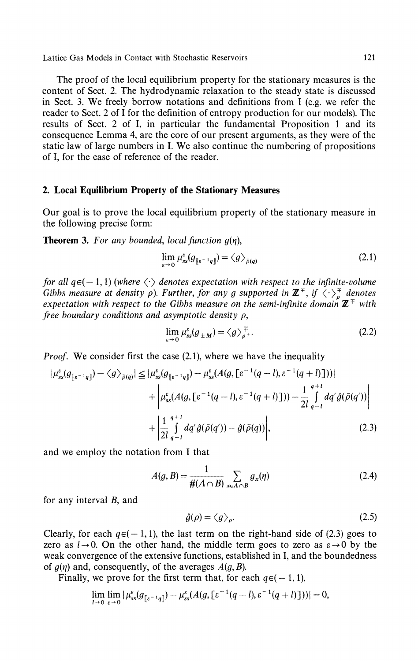The proof of the local equilibrium property for the stationary measures is the content of Sect. 2. The hydrodynamic relaxation to the steady state is discussed in Sect. 3. We freely borrow notations and definitions from I (e.g. we refer the reader to Sect. 2 of I for the definition of entropy production for our models). The results of Sect. 2 of I, in particular the fundamental Proposition 1 and its consequence Lemma 4, are the core of our present arguments, as they were of the static law of large numbers in I. We also continue the numbering of propositions of I, for the ease of reference of the reader.

# **2. Local Equilibrium Property of the Stationary Measures**

Our goal is to prove the local equilibrium property of the stationary measure in the following precise form:

**Theorem 3.** *For any bounded, local function g(η\*

$$
\lim_{\varepsilon \to 0} \mu_{ss}^{\varepsilon}(g_{\lbrack \varepsilon^{-1}q \rbrack}) = \langle g \rangle_{\tilde{\rho}(q)} \tag{2.1}
$$

*for all*  $q \in (-1,1)$  *(where*  $\langle \cdot \rangle$  *denotes expectation with respect to the infinite-volume Gibbs measure at density*  $\rho$ *). Further, for any g supported in*  $\mathbb{Z}^{\mp}$ , if  $\langle \cdot \rangle_{a}^{\mp}$  denotes *expectation with respect to the Gibbs measure on the semi-infinite domain*  $\mathbb{Z}^+$  *with free boundary conditions and asymptotic density p,*

$$
\lim_{\varepsilon \to 0} \mu_{ss}^{\varepsilon}(g_{\pm M}) = \langle g \rangle_{\rho^{\pm}}^{\mp}.
$$
\n(2.2)

*Proof.* We consider first the case (2.1), where we have the inequality

$$
|\mu_{ss}^{\varepsilon}(g_{[\varepsilon^{-1}q]}) - \langle g \rangle_{\bar{\rho}(q)}| \leq |\mu_{ss}^{\varepsilon}(g_{[\varepsilon^{-1}q]}) - \mu_{ss}^{\varepsilon}(A(g, [\varepsilon^{-1}(q-l), \varepsilon^{-1}(q+l)]))| + |\mu_{ss}^{\varepsilon}(A(g, [\varepsilon^{-1}(q-l), \varepsilon^{-1}(q+l)])) - \frac{1}{2l} \int_{q-l}^{q+l} dq' \hat{g}(\bar{\rho}(q')) + |\frac{1}{2l} \int_{q-l}^{q+l} dq' \hat{g}(\bar{\rho}(q')) - \hat{g}(\bar{\rho}(q))|,
$$
(2.3)

and we employ the notation from I that

$$
A(g, B) = \frac{1}{\#(\Lambda \cap B)} \sum_{x \in \Lambda \cap B} g_x(\eta) \tag{2.4}
$$

for any interval *B,* and

$$
\hat{g}(\rho) = \langle g \rangle_{\rho}.\tag{2.5}
$$

Clearly, for each  $q \in (-1,1)$ , the last term on the right-hand side of (2.3) goes to zero as  $l \rightarrow 0$ . On the other hand, the middle term goes to zero as  $\epsilon \rightarrow 0$  by the weak convergence of the extensive functions, established in I, and the boundedness of *g(η)* and, consequently, of the averages *A(g,B).*

Finally, we prove for the first term that, for each  $q \in (-1,1)$ ,

$$
\lim_{l\to 0}\lim_{\varepsilon\to 0}|\mu^{\varepsilon}_{ss}(g_{\lbrack \varepsilon^{-1}q\rbrack})-\mu^{\varepsilon}_{ss}(A(g,\lbrack \varepsilon^{-1}(q-l),\varepsilon^{-1}(q+l)\rbrack))|=0,
$$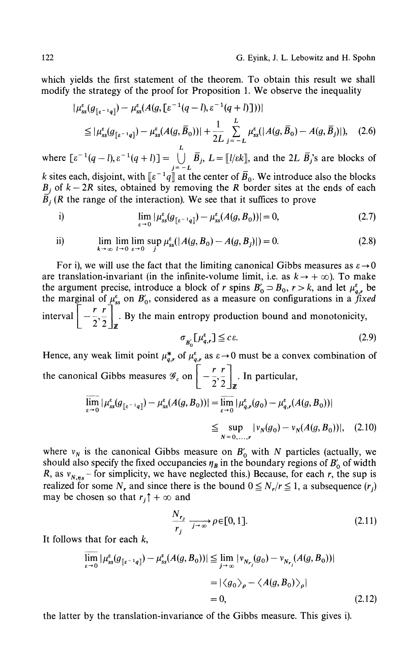which yields the first statement of the theorem. To obtain this result we shall modify the strategy of the proof for Proposition 1. We observe the inequality

$$
\mu_{ss}^{\varepsilon}(g_{\lbrack \varepsilon^{-1}q\rbrack}) - \mu_{ss}^{\varepsilon}(A(g, \lbrack \varepsilon^{-1}(q-l), \varepsilon^{-1}(q+l)\rbrack))|
$$
\n
$$
\leq |\mu_{ss}^{\varepsilon}(g_{\lbrack \varepsilon^{-1}q\rbrack}) - \mu_{ss}^{\varepsilon}(A(g, \bar{B}_{0}))| + \frac{1}{2L} \sum_{j=-L}^{L} \mu_{ss}^{\varepsilon}(|A(g, \bar{B}_{0}) - A(g, \bar{B}_{j})|), \quad (2.6)
$$

where  $\left[ \varepsilon^{-1}(q-l), \varepsilon^{-1}(q+l) \right] = \bigcup_{j=-L} \overline{B}_j$ ,  $L = \left[ \frac{l}{\varepsilon} \right]$ , and the 2L  $\overline{B}_j$ 's are blocks of *k* sites each, disjoint, with  $\llbracket \varepsilon^{-1}q \rrbracket$  at the center of  $B_0$ . We introduce also the blocks  $B_j$  of  $k - 2R$  sites, obtained by removing the *R* border sites at the ends of each  $\overline{B}_j$  (R the range of the interaction). We see that it suffices to prove

i) 
$$
\lim_{\varepsilon \to 0} |\mu_{ss}^{\varepsilon}(g_{[\varepsilon^{-1}q]}) - \mu_{ss}^{\varepsilon}(A(g, B_0))| = 0,
$$
 (2.7)

ii) 
$$
\lim_{k \to \infty} \lim_{l \to 0} \lim_{\varepsilon \to 0} \sup_{j} \mu_{ss}^{\varepsilon}(|A(g, B_0) - A(g, B_j)|) = 0.
$$
 (2.8)

For i), we will use the fact that the limiting canonical Gibbs measures as  $\varepsilon \rightarrow 0$ are translation-invariant (in the infinite-volume limit, i.e. as  $k \rightarrow +\infty$ ). To make the argument precise, introduce a block of *r* spins  $B'_0 \supset B_0$ ,  $r > k$ , and let  $\mu_{a,r}^{\varepsilon}$  be the marginal of  $\mu_{ss}^{\epsilon}$  on  $B'_{0}$ , considered as a measure on configurations in a fixed  $1\left[-\frac{r}{2}, \frac{r}{2}\right]_{\mathbf{z}}^{\infty}$ . By the main entropy production bound and monotonicity,  $2^{\prime}2\rfloor_{\mathbb{Z}}$ 

$$
\sigma_{B_0'}[ \mu_{q,r}^{\varepsilon}] \leq c \varepsilon. \tag{2.9}
$$

Hence, any weak limit point  $\mu_{q,r}^*$  of  $\mu_{q,r}^*$  as  $\varepsilon \to 0$  must be a convex combination of  $\lfloor r \rfloor$ the canonical Gibbs measures  $\mathscr{D}_c$  on  $\left[ \begin{array}{c} -\frac{1}{2}, \frac{1}{2} \\ 2, \frac{1}{2} \end{array} \right]$ . In particular, **L <sup>2</sup> 2J**  $\overline{\lim}_{\varepsilon \to 0} |\mu_{ss}^{\varepsilon}(g_{[\varepsilon^{-1}q]}) - \mu_{ss}^{\varepsilon}(A(g, B_0))| = \overline{\lim}_{\varepsilon \to 0} |\mu_{q,r}^{\varepsilon}(g_0) - \mu_{q,r}^{\varepsilon}(A(g, B_0))|$  $\leq \sup_{N=0,\dots,r} |v_N(g_0) - v_N(A(g, B_0))|$  $(2.10)$ 

where  $v_N$  is the canonical Gibbs measure on  $B'_0$  with N particles (actually, we should also specify the fixed occupancies  $\eta_B$  in the boundary regions of  $B_0^\prime$  of width *R*, as  $v_{N,n_B}$  - for simplicity, we have neglected this.) Because, for each *r*, the sup is realized for some  $N_r$  and since there is the bound  $0 \le N_r/r \le 1$ , a subsequence  $(r_j)$ may be chosen so that  $r_j \uparrow +\infty$  and

$$
\frac{N_{r_j}}{r_j} \xrightarrow[j \to \infty]{} \rho \in [0, 1]. \tag{2.11}
$$

It follows that for each  $k$ ,

$$
\overline{\lim}_{\varepsilon \to 0} |\mu_{ss}^{\varepsilon}(g_{\lbrack \varepsilon^{-1}q \rbrack}) - \mu_{ss}^{\varepsilon}(A(g, B_0))| \leq \lim_{j \to \infty} |\nu_{N_{r_j}}(g_0) - \nu_{N_{r_j}}(A(g, B_0))|
$$
  
=  $|\langle g_0 \rangle_{\rho} - \langle A(g, B_0) \rangle_{\rho}|$   
= 0, (2.12)

the latter by the translation-invariance of the Gibbs measure. This gives i).

I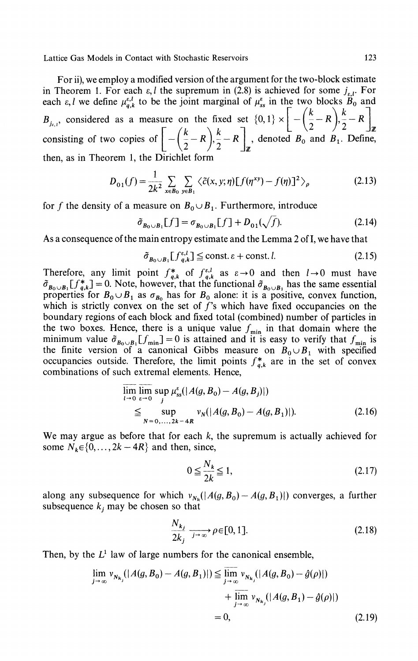For ii), we employ a modified version of the argument for the two-block estimate in Theorem 1. For each  $\varepsilon$ , *l* the supremum in (2.8) is achieved for some  $j_{\varepsilon, l}$ . For each  $\varepsilon$ , *l* we define  $\mu_{q,k}^{\varepsilon,l}$  to be the joint marginal of  $\mu_{ss}^{\varepsilon}$  in the two blocks  $\dot{B}_0$  and  $B_{i,j}$ , considered as a measure on the fixed set  $\{0,1\} \times \left[ -\left(\frac{k}{2} - R\right), \frac{k}{2} - R \right]$  $\left(k \right)$   $k \left(1 \right)$   $\left(2 \right)$   $\left(2 \right)$   $\left(2 \right)$   $\left(2 \right)$   $\left(2 \right)$ consisting of two copies of  $|-(\frac{1}{2}-R), \frac{1}{2}-R|$ , denoted  $B_0$  and  $B_1$ . Define,  $\frac{1}{2}$   $\frac{2}{x}$   $\frac{1}{x}$ then, as in Theorem 1, the Dirichlet form

$$
D_{01}(f) = \frac{1}{2k^2} \sum_{x \in B_0} \sum_{y \in B_1} \langle \tilde{c}(x, y; \eta) [f(\eta^{xy}) - f(\eta)]^2 \rangle_{\rho}
$$
 (2.13)

for f the density of a measure on  $B_0 \cup B_1$ . Furthermore, introduce

$$
\tilde{\sigma}_{B_0 \cup B_1}[f] = \sigma_{B_0 \cup B_1}[f] + D_{01}(\sqrt{f}).\tag{2.14}
$$

As a consequence of the main entropy estimate and the Lemma 2 of I, we have that

$$
\tilde{\sigma}_{B_0 \cup B_1} [f_{q,k}^{\varepsilon,l}] \leq \text{const.} \, \varepsilon + \text{const.} \, l. \tag{2.15}
$$

Therefore, any limit point  $f_{q,k}^*$  of  $f_{q,k}^{\varepsilon,l}$  as  $\varepsilon \to 0$  and then  $l \to 0$  must have  $B_{B_0\cup B_1}[f_{q,k}^*]=0$ . Note, however, that the functional  $\tilde{\sigma}_{B_0\cup B_1}$  has the same essential properties for  $B_0 \cup B_1$  as  $\sigma_{B_0}$  has for  $B_0$  alone: it is a positive, convex function, which is strictly convex on the set of  $f$ 's which have fixed occupancies on the boundary regions of each block and fixed total (combined) number of particles in the two boxes. Hence, there is a unique value  $f_{\min}$  in that domain where the minimum value  $\tilde{\sigma}_{B_0 \cup B_1}[f_{min}] = 0$  is attained and it is easy to verify that  $f_{min}$  is the finite version of a canonical Gibbs measure on  $B_0 \cup B_1$  with specified occupancies outside. Therefore, the limit points  $f_{a,k}^*$  are in the set of convex combinations of such extremal elements. Hence,

$$
\lim_{l \to 0} \lim_{\varepsilon \to 0} \sup_{j} \mu_{ss}^{\varepsilon}(|A(g, B_0) - A(g, B_j)|)
$$
\n
$$
\leq \sup_{N = 0, ..., 2k - 4R} v_N(|A(g, B_0) - A(g, B_1)|). \tag{2.16}
$$

We may argue as before that for each  $k$ , the supremum is actually achieved for some  $N_k \in \{0, \ldots, 2k - 4R\}$  and then, since,

$$
0 \le \frac{N_k}{2k} \le 1,\tag{2.17}
$$

along any subsequence for which  $v_{N_k}(\vert A(g, B_0) - A(g, B_1)\vert)$  converges, a further subsequence  $k_j$  may be chosen so that

$$
\frac{N_{k_j}}{2k_j} \xrightarrow{j \to \infty} \rho \in [0, 1]. \tag{2.18}
$$

Then, by the  $L^1$  law of large numbers for the canonical ensemble,

$$
\lim_{j \to \infty} v_{N_{k_j}}(|A(g, B_0) - A(g, B_1)|) \le \lim_{j \to \infty} v_{N_{k_j}}(|A(g, B_0) - \hat{g}(\rho)|) + \lim_{j \to \infty} v_{N_{k_j}}(|A(g, B_1) - \hat{g}(\rho)|)
$$
  
= 0, (2.19)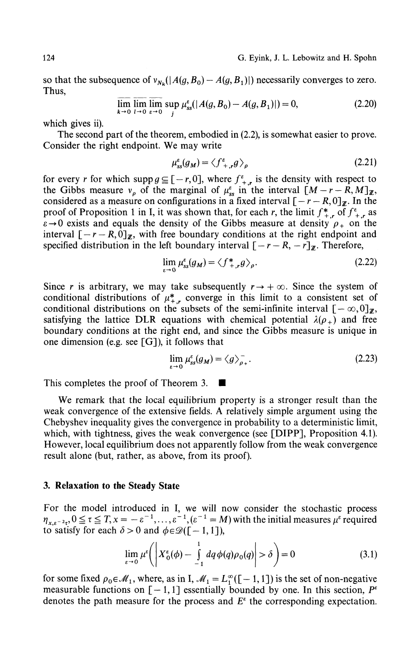so that the subsequence of  $v_{N_k}(\vert A(g, B_0) - A(g, B_1) \vert)$  necessarily converges to zero. Thus,

$$
\lim_{k \to 0} \lim_{l \to 0} \lim_{\varepsilon \to 0} \sup_{j} \mu_{ss}^{\varepsilon}(|A(g, B_0) - A(g, B_1)|) = 0,
$$
\n(2.20)

which gives ii).

The second part of the theorem, embodied in (2.2), is somewhat easier to prove. Consider the right endpoint. We may write

$$
\mu_{ss}^{\varepsilon}(g_M) = \langle f_{+,r}^{\varepsilon} g \rangle_{\rho} \tag{2.21}
$$

for every *r* for which supp  $g \subseteq [-r, 0]$ , where  $f^{\varepsilon}_{+r}$  is the density with respect to the Gibbs measure  $v_p$  of the marginal of  $\mu_{ss}^{\varepsilon}$  in the interval  $[M - r - R, M]_{\mathbb{Z}}$ , considered as a measure on configurations in a fixed interval  $[-r - R, 0]_{\mathbb{Z}}$ . In the proof of Proposition 1 in I, it was shown that, for each r, the limit  $f_{+,r}^*$  of  $f_{+,r}^*$  as  $\varepsilon \to 0$  exists and equals the density of the Gibbs measure at density  $\rho_+$  on the interval  $[-r - R, 0]_{\mathbb{Z}}$ , with free boundary conditions at the right endpoint and specified distribution in the left boundary interval  $[-r - R, -r]$ <sub>*z*</sub>. Therefore,

$$
\lim_{\varepsilon \to 0} \mu_{ss}^{\varepsilon}(g_M) = \langle f_{+,r}^* g \rangle_{\rho}.
$$
\n(2.22)

Since *r* is arbitrary, we may take subsequently  $r \rightarrow +\infty$ . Since the system of conditional distributions of  $\mu^*_{+,r}$  converge in this limit to a consistent set of conditional distributions on the subsets of the semi-infinite interval  $[-\infty,0]$ <sub>*z*</sub>, satisfying the lattice DLR equations with chemical potential  $\lambda(\rho_+)$  and free boundary conditions at the right end, and since the Gibbs measure is unique in one dimension (e.g. see  $[G]$ ), it follows that

$$
\lim_{\varepsilon \to 0} \mu_{ss}^{\varepsilon}(g_M) = \langle g \rangle_{\rho_+}^{-}.
$$
\n(2.23)

This completes the proof of Theorem 3.  $\blacksquare$ 

We remark that the local equilibrium property is a stronger result than the weak convergence of the extensive fields. A relatively simple argument using the Chebyshev inequality gives the convergence in probability to a deterministic limit, which, with tightness, gives the weak convergence (see [DIPP], Proposition 4.1). However, local equilibrium does not apparently follow from the weak convergence result alone (but, rather, as above, from its proof).

#### **3. Relaxation to the Steady State**

For the model introduced in I, we will now consider the stochastic process  $\eta_{x,\varepsilon^{-2}\tau}$ ,  $0 \le \tau \le T$ ,  $x = -\varepsilon^{-1}$ , ..., $\varepsilon^{-1}$ ,  $(\varepsilon^{-1} = M)$  with the initial measures  $\mu^{\varepsilon}$  required to satisfy for each  $\delta > 0$  and  $\phi \in \mathcal{D}([-1, 1]),$ 

$$
\lim_{\varepsilon \to 0} \mu^{\varepsilon} \bigg( \left| X_0^{\varepsilon}(\phi) - \int_{-1}^{1} dq \, \phi(q) \rho_0(q) \right| > \delta \bigg) = 0 \tag{3.1}
$$

for some fixed  $\rho_0 \in \mathcal{M}_1$ , where, as in I,  $\mathcal{M}_1 = L_1^{\infty}([-1,1])$  is the set of non-negative measurable functions on  $[-1,1]$  essentially bounded by one. In this section,  $P^{\varepsilon}$ denotes the path measure for the process and  $E^{\epsilon}$  the corresponding expectation.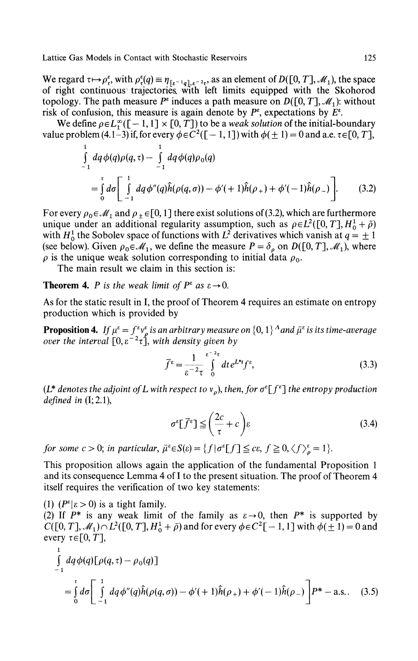We regard  $\tau \mapsto \rho_{\tau}^{\epsilon}$ , with  $\rho_{\tau}^{\epsilon}(q) \equiv \eta_{\lbrack \epsilon^{-1}q \rbrack, \epsilon^{-2} \tau}$ , as an element of  $D([0, T], \mathcal{M}_1)$ , the space of right continuous trajectories, with left limits equipped with the Skohorod topology. The path measure  $P^{\varepsilon}$  induces a path measure on  $D([0, T], \mathscr{M}_1)$ : without risk of confusion, this measure is again denote by  $P^{\varepsilon}$ , expectations by  $E^{\varepsilon}$ .

We define  $\rho \in L_1^{\infty}([-1,1] \times [0,T])$  to be a *weak solution* of the initial-boundary value problem (4.1–3) if, for every  $\phi \in C^2([-1, 1])$  with  $\phi(\pm 1) = 0$  and a.e.  $\tau \in [0, T]$ ,

$$
\int_{-1}^{1} dq \phi(q) \rho(q, \tau) - \int_{-1}^{1} dq \phi(q) \rho_0(q)
$$
\n
$$
= \int_{0}^{\tau} d\sigma \left[ \int_{-1}^{1} dq \phi''(q) \hat{h}(\rho(q, \sigma)) - \phi'(+1) \hat{h}(\rho_+) + \phi'(-1) \hat{h}(\rho_-) \right].
$$
\n(3.2)

For every  $\rho_0 \in \mathcal{M}_1$  and  $\rho_{\pm} \in [0, 1]$  there exist solutions of (3.2), which are furthermore unique under an additional regularity assumption, such as  $\rho \in L^2([0, T], H_0^1 + \bar{\rho})$ with  $H_0^1$  the Sobolev space of functions with  $L^2$  derivatives which vanish at  $q = \pm 1$ (see below). Given  $\rho_0 \in \mathcal{M}_1$ , we define the measure  $P = \delta_\rho$  on  $D([0, T], \mathcal{M}_1)$ , where  $\rho$  is the unique weak solution corresponding to initial data  $\rho_0$ .

The main result we claim in this section is:

**Theorem 4.** *P is the weak limit of*  $P^{\varepsilon}$  *as*  $\varepsilon \rightarrow 0$ .

As for the static result in I, the proof of Theorem 4 requires an estimate on entropy production which is provided by

**Proposition 4.** *If*  $\mu^{\varepsilon} = f^{\varepsilon} v^{\varepsilon}$  *is an arbitrary measure on*  $\{0,1\}^A$  and  $\bar{\mu}^{\varepsilon}$  is its time-average *over the interval* [0, ε~ 2 τ], *with density given by*

$$
\bar{f}^{\varepsilon} = \frac{1}{\varepsilon^{-2} \tau} \int_{0}^{\varepsilon^{-2} \tau} dt \, e^{L^* t} f^{\varepsilon}, \tag{3.3}
$$

(L\* denotes the adjoint of L with respect to v<sub>ρ</sub>), then, for σ<sup>ε</sup>[f<sup>ε</sup>] the entropy production *defined in* (I; 2.1),

$$
\sigma^{\varepsilon}[\bar{f}^{\varepsilon}] \leq \left(\frac{2c}{\tau} + c\right)\varepsilon\tag{3.4}
$$

*for some c* > 0; *in particular,*  $\bar{\mu}^{\epsilon} \in S(\epsilon) = \{f | \sigma^{\epsilon}[f] \leq c\epsilon, f \geq 0, \langle f \rangle^{\epsilon}_{\rho} = 1\}.$ 

This proposition allows again the application of the fundamental Proposition 1 and its consequence Lemma 4 of I to the present situation. The proof of Theorem 4 itself requires the verification of two key statements:

(1)  $(P^{\varepsilon}| \varepsilon > 0)$  is a tight family.

 $\mathbf{1}$ 

(2) If  $P^*$  is any weak limit of the family as  $\varepsilon \to 0$ , then  $P^*$  is supported by  $C([0, T], \mathcal{M}_1) \cap L^2([0, T], H_0^1 + \bar{\rho})$  and for every  $\phi \in C^2[-1, 1]$  with  $\phi(\pm 1) = 0$  and every  $\tau \in [0, T]$ ,

$$
\int_{-1}^{1} dq \phi(q) [\rho(q, \tau) - \rho_0(q)]
$$
\n
$$
= \int_{0}^{\tau} d\sigma \left[ \int_{-1}^{1} dq \phi''(q) \hat{h}(\rho(q, \sigma)) - \phi'(1 + \hat{h}(\rho_+) + \phi'(-1)\hat{h}(\rho_-) \right] P^* - \text{a.s.} \quad (3.5)
$$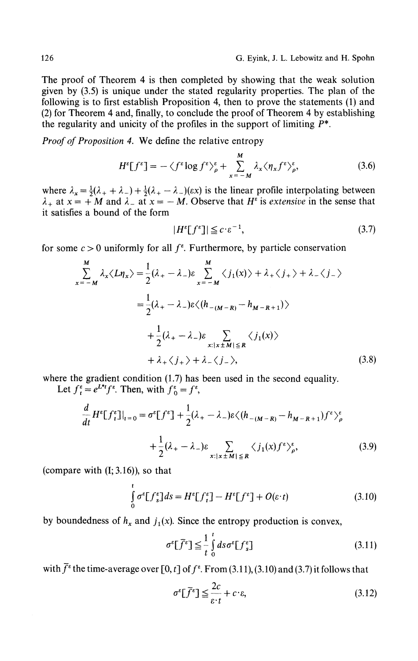The proof of Theorem 4 is then completed by showing that the weak solution given by (3.5) is unique under the stated regularity properties. The plan of the following is to first establish Proposition 4, then to prove the statements (1) and (2) for Theorem 4 and, finally, to conclude the proof of Theorem 4 by establishing the regularity and unicity of the profiles in the support of limiting  $P^*$ .

*Proof of Proposition 4.* We define the relative entropy

$$
H^{\varepsilon}[f^{\varepsilon}] = -\langle f^{\varepsilon} \log f^{\varepsilon} \rangle_{\rho}^{\varepsilon} + \sum_{x=-M}^{M} \lambda_{x} \langle \eta_{x} f^{\varepsilon} \rangle_{\rho}^{\varepsilon}, \tag{3.6}
$$

where  $\lambda_x = \frac{1}{2}(\lambda_+ + \lambda_-) + \frac{1}{2}(\lambda_+ - \lambda_-)(\epsilon x)$  is the linear profile interpolating between  $x_+$  at  $x = +M$  and  $\lambda_-$  at  $x = -M$ . Observe that  $H^{\varepsilon}$  is *extensive* in the sense that it satisfies a bound of the form

$$
|H^{\varepsilon}[f^{\varepsilon}]| \leq c \cdot \varepsilon^{-1},\tag{3.7}
$$

for some  $c > 0$  uniformly for all  $f^*$ . Furthermore, by particle conservation

$$
\sum_{x=-M}^{M} \lambda_{x} \langle L \eta_{x} \rangle = \frac{1}{2} (\lambda_{+} - \lambda_{-}) \varepsilon \sum_{x=-M}^{M} \langle j_{1}(x) \rangle + \lambda_{+} \langle j_{+} \rangle + \lambda_{-} \langle j_{-} \rangle
$$
  

$$
= \frac{1}{2} (\lambda_{+} - \lambda_{-}) \varepsilon \langle (h_{-(M-R)} - h_{M-R+1}) \rangle
$$
  

$$
+ \frac{1}{2} (\lambda_{+} - \lambda_{-}) \varepsilon \sum_{x: |x \pm M| \le R} \langle j_{1}(x) \rangle
$$
  

$$
+ \lambda_{+} \langle j_{+} \rangle + \lambda_{-} \langle j_{-} \rangle,
$$
 (3.8)

where the gradient condition (1.7) has been used in the second equality.

Let  $f_t^e = e^{L^*t} f^e$ . Then, with  $f_0^e = f^e$ ,

$$
\frac{d}{dt} H^{\varepsilon} [f_{i}^{\varepsilon}]|_{t=0} = \sigma^{\varepsilon} [f^{\varepsilon}] + \frac{1}{2} (\lambda_{+} - \lambda_{-}) \varepsilon \langle (h_{-(M-R)} - h_{M-R+1}) f^{\varepsilon} \rangle_{\rho}^{\varepsilon}
$$

$$
+ \frac{1}{2} (\lambda_{+} - \lambda_{-}) \varepsilon \sum_{x: |x \pm M| \le R} \langle j_{1}(x) f^{\varepsilon} \rangle_{\rho}^{\varepsilon}, \tag{3.9}
$$

(compare with  $(I; 3.16)$ ), so that

$$
\int_{0}^{t} \sigma^{\varepsilon} [f_s^{\varepsilon}] ds = H^{\varepsilon} [f_t^{\varepsilon}] - H^{\varepsilon} [f^{\varepsilon}] + O(\varepsilon \cdot t)
$$
\n(3.10)

by boundedness of  $h_x$  and  $j_1(x)$ . Since the entropy production is convex,

$$
\sigma^{\varepsilon}[\bar{f}^{\varepsilon}] \leq \frac{1}{t} \int_{0}^{t} ds \sigma^{\varepsilon} [f^{\varepsilon}_{s}] \tag{3.11}
$$

with  $\bar{f}^{\epsilon}$  the time-average over [0, *t*] of  $f^{\epsilon}$ . From (3.11), (3.10) and (3.7) it follows that

$$
\sigma^{\varepsilon}[\bar{f}^{\varepsilon}] \leq \frac{2c}{\varepsilon \cdot t} + c \cdot \varepsilon, \tag{3.12}
$$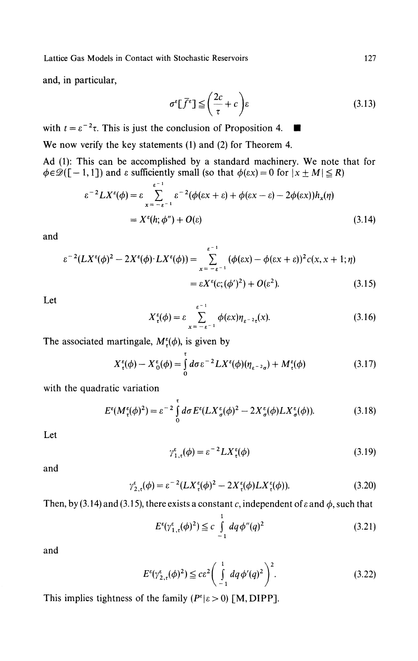and, in particular,

$$
\sigma^{\varepsilon}[\bar{f}^{\varepsilon}] \leq \left(\frac{2c}{\tau} + c\right)\varepsilon\tag{3.13}
$$

with  $t = \varepsilon^{-2} \tau$ . This is just the conclusion of Proposition 4.  $\blacksquare$ We now verify the key statements (1) and (2) for Theorem 4. Ad (1): This can be accomplished by a standard machinery. We note that for  $\phi \in \mathscr{D}([-1,1])$  and  $\varepsilon$  sufficiently small (so that  $\phi(\varepsilon x) = 0$  for  $|x \pm M| \le R$ )

$$
\varepsilon^{-2} L X^{\varepsilon}(\phi) = \varepsilon \sum_{x = -\varepsilon^{-1}}^{\varepsilon^{-1}} \varepsilon^{-2} (\phi(\varepsilon x + \varepsilon) + \phi(\varepsilon x - \varepsilon) - 2\phi(\varepsilon x)) h_x(\eta)
$$
  
=  $X^{\varepsilon}(h; \phi'') + O(\varepsilon)$  (3.14)

and

$$
\varepsilon^{-2}(LX^{\varepsilon}(\phi)^{2} - 2X^{\varepsilon}(\phi) \cdot LX^{\varepsilon}(\phi)) = \sum_{x = -\varepsilon^{-1}}^{\varepsilon^{-1}} (\phi(\varepsilon x) - \phi(\varepsilon x + \varepsilon))^{2} c(x, x + 1; \eta)
$$

$$
= \varepsilon X^{\varepsilon}(c; (\phi')^{2}) + O(\varepsilon^{2}). \tag{3.15}
$$

Let

$$
X_t^{\varepsilon}(\phi) = \varepsilon \sum_{x = -\varepsilon^{-1}}^{\varepsilon^{-1}} \phi(\varepsilon x) \eta_{\varepsilon^{-2} \tau}(x).
$$
 (3.16)

The associated martingale,  $M^{\epsilon}_{\tau}(\phi)$ , is given by

$$
X_{\tau}^{\varepsilon}(\phi) - X_{0}^{\varepsilon}(\phi) = \int_{0}^{\tau} d\sigma \varepsilon^{-2} L X^{\varepsilon}(\phi) (\eta_{\varepsilon^{-2}\sigma}) + M_{\tau}^{\varepsilon}(\phi)
$$
 (3.17)

with the quadratic variation

$$
E^{\epsilon}(M^{\epsilon}_{\tau}(\phi)^{2}) = \varepsilon^{-2} \int_{0}^{\tau} d\sigma E^{\epsilon}(LX^{\epsilon}_{\sigma}(\phi)^{2} - 2X^{\epsilon}_{\sigma}(\phi)LX^{\epsilon}_{\sigma}(\phi)).
$$
 (3.18)

Let

$$
\gamma_{1,\tau}^{\epsilon}(\phi) = \varepsilon^{-2} L X_{\tau}^{\epsilon}(\phi) \tag{3.19}
$$

and

$$
\gamma_{2,\tau}^{\epsilon}(\phi) = \varepsilon^{-2} (L X_{\tau}^{\epsilon}(\phi)^{2} - 2 X_{\tau}^{\epsilon}(\phi) L X_{\tau}^{\epsilon}(\phi)). \tag{3.20}
$$

Then, by (3.14) and (3.15), there exists a constant c, independent of  $\varepsilon$  and  $\phi$ , such that

$$
E^{\epsilon}(\gamma_{1,\tau}^{\epsilon}(\phi)^{2}) \leq c \int\limits_{-1}^{1} dq \phi''(q)^{2}
$$
 (3.21)

and

$$
E^{\epsilon}(\gamma_{2,t}^{\epsilon}(\phi)^{2}) \leq c\epsilon^{2} \bigg(\int_{-1}^{1} dq \, \phi'(q)^{2}\bigg)^{2}.
$$
 (3.22)

This implies tightness of the family ( $P^{\varepsilon} | \varepsilon > 0$ ) [M, DIPP].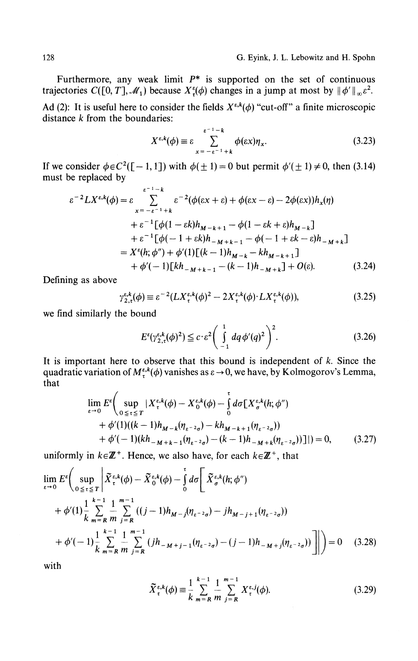Furthermore, any weak limit  $P^*$  is supported on the set of continuous trajectories  $C([0, T], \mathcal{M}_1)$  because  $X_\tau^s(\phi)$  changes in a jump at most by  $\|\phi'\|_\infty \varepsilon^2$ .

Ad (2): It is useful here to consider the fields  $X^{\varepsilon,k}(\phi)$  "cut-off" a finite microscopic distance *k* from the boundaries:

$$
X^{\varepsilon,k}(\phi) \equiv \varepsilon \sum_{x=-\varepsilon^{-1}+k}^{\varepsilon^{-1}-k} \phi(\varepsilon x) \eta_x.
$$
 (3.23)

If we consider  $\phi \in C^2([-1, 1])$  with  $\phi(\pm 1) = 0$  but permit  $\phi'(\pm 1) \neq 0$ , then (3.14) must be replaced by

$$
\varepsilon^{-2} L X^{\varepsilon,k}(\phi) = \varepsilon \sum_{x=-\varepsilon^{-1}+k}^{\varepsilon^{-2}+k} \varepsilon^{-2} (\phi(\varepsilon x + \varepsilon) + \phi(\varepsilon x - \varepsilon) - 2\phi(\varepsilon x)) h_x(\eta)
$$
  
+  $\varepsilon^{-1} [\phi(1 - \varepsilon k) h_{M-k+1} - \phi(1 - \varepsilon k + \varepsilon) h_{M-k}]$   
+  $\varepsilon^{-1} [\phi(-1 + \varepsilon k) h_{-M+k-1} - \phi(-1 + \varepsilon k - \varepsilon) h_{-M+k}]$   
=  $X^{\varepsilon}(h; \phi'') + \phi'(1) [(k-1) h_{M-k} - k h_{M-k+1}]$   
+  $\phi'(-1) [k h_{-M+k-1} - (k-1) h_{-M+k}] + O(\varepsilon).$  (3.24)

Defining as above

$$
\gamma_{2,\tau}^{\varepsilon,k}(\phi) \equiv \varepsilon^{-2} (L X_{\tau}^{\varepsilon,k}(\phi)^2 - 2 X_{\tau}^{\varepsilon,k}(\phi) \cdot L X_{\tau}^{\varepsilon,k}(\phi)),\tag{3.25}
$$

we find similarly the bound

$$
E^{\varepsilon}(\gamma_{2,\tau}^{\varepsilon,k}(\phi)^{2}) \le c \cdot \varepsilon^{2} \bigg(\int_{-1}^{1} dq \, \phi'(q)^{2}\bigg)^{2}.
$$
 (3.26)

It is important here to observe that this bound is independent of *k.* Since the quadratic variation of  $M^{s,k}_{\tau}(\phi)$  vanishes as  $\varepsilon \to 0$ , we have, by Kolmogorov's Lemma, that

$$
\lim_{\varepsilon \to 0} E^{\varepsilon} \Biggl( \sup_{0 \leq \tau \leq T} |X_{\tau}^{\varepsilon, k}(\phi) - X_{0}^{\varepsilon, k}(\phi) - \int_{0}^{\tau} d\sigma [X_{\sigma}^{\varepsilon, k}(h; \phi'')\n+ \phi'(1)((k-1)h_{M-k}(\eta_{\varepsilon^{-2}\sigma}) - kh_{M-k+1}(\eta_{\varepsilon^{-2}\sigma}))\n+ \phi'(-1)(kh_{-M+k-1}(\eta_{\varepsilon^{-2}\sigma}) - (k-1)h_{-M+k}(\eta_{\varepsilon^{-2}\sigma}))] | ) = 0, \qquad (3.27)
$$

uniformly in *keΈ<sup>+</sup> .* Hence, we also have, for each *keZ<sup>+</sup> ,* that

$$
\lim_{\varepsilon \to 0} E^{\varepsilon} \Big( \sup_{0 \leq \tau \leq T} \Big| \widetilde{X}_{\tau}^{\varepsilon, k}(\phi) - \widetilde{X}_{0}^{\varepsilon, k}(\phi) - \int_{0}^{\tau} d\sigma \Bigg[ \widetilde{X}_{\sigma}^{\varepsilon, k}(h; \phi'') \n+ \phi'(1) \frac{1}{k} \sum_{m=R}^{k-1} \frac{1}{m} \sum_{j=R}^{m-1} ((j-1)h_{M-j}(\eta_{\varepsilon^{-2}\sigma}) - jh_{M-j+1}(\eta_{\varepsilon^{-2}\sigma})) \n+ \phi'(-1) \frac{1}{k} \sum_{m=R}^{k-1} \frac{1}{m} \sum_{j=R}^{m-1} (jh_{-M+j-1}(\eta_{\varepsilon^{-2}\sigma}) - (j-1)h_{-M+j}(\eta_{\varepsilon^{-2}\sigma})) \Bigg] \Bigg| \Bigg) = 0 \quad (3.28)
$$

with

$$
\widetilde{X}_{\tau}^{\varepsilon,k}(\phi) \equiv \frac{1}{k} \sum_{m=R}^{k-1} \frac{1}{m} \sum_{j=R}^{m-1} X_{\tau}^{\varepsilon,j}(\phi). \tag{3.29}
$$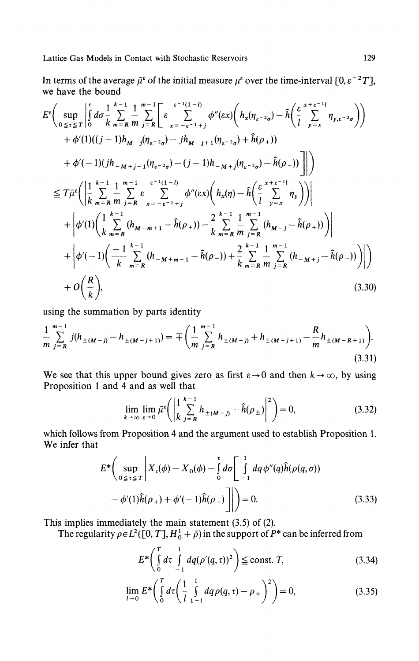In terms of the average  $\bar{\mu}^{\epsilon}$  of the initial measure  $\mu^{\epsilon}$  over the time-interval  $[0,\epsilon^{-2}T]$ , we have the bound

$$
E^{\epsilon}\left(\sup_{0\leq t\leq T}\left|\int_{0}^{t} d\sigma \frac{1}{k} \sum_{m=R}^{k-1} \frac{1}{m} \sum_{j=R}^{m-1} \left[\varepsilon \sum_{x=-\epsilon^{-1}+j}^{\epsilon^{-1}(1-l)} \phi''(\epsilon x) \left(h_{x}(\eta_{\epsilon^{-2}\sigma}) - \hat{h}(\frac{\epsilon}{l} \sum_{y=x}^{k+\epsilon^{-1}l} \eta_{y,\epsilon^{-2}\sigma}\right)\right)\right] + \phi'(1)((j-1)h_{M-j}(\eta_{\epsilon^{-2}\sigma}) - jh_{M-j+1}(\eta_{\epsilon^{-2}\sigma}) + \hat{h}(\rho_{+})) + \phi'(-1)(jh_{-M+j-1}(\eta_{\epsilon^{-2}\sigma}) - (j-1)h_{-M+j}(\eta_{\epsilon^{-2}\sigma}) - \hat{h}(\rho_{-}))\right]\right) \n\leq T\bar{\mu}^{\epsilon}\left(\left|\frac{1}{k} \sum_{m=R}^{k-1} \frac{1}{m} \sum_{j=R}^{m-1} \varepsilon \sum_{x=-\epsilon^{-1}+j}^{\epsilon^{-1}(1-l)} \phi''(\epsilon x) \left(h_{x}(\eta) - \hat{h}(\frac{\epsilon}{l} \sum_{y=x}^{k+\epsilon^{-1}l} \eta_{y})\right)\right| + \left|\phi'(1)\left(\frac{1}{k} \sum_{m=R}^{k-1} (h_{M-m+1} - \hat{h}(\rho_{+})) - \frac{2}{k} \sum_{m=R}^{k-1} \frac{1}{m} \sum_{j=R}^{m-1} (h_{M-j} - \hat{h}(\rho_{+}))\right)\right| + \left|\phi'(-1)\left(\frac{-1}{k} \sum_{m=R}^{k-1} (h_{-M+m-1} - \hat{h}(\rho_{-})) + \frac{2}{k} \sum_{m=R}^{k-1} \frac{1}{m} \sum_{j=R}^{m-1} (h_{-M+j} - \hat{h}(\rho_{-}))\right)\right| + O\left(\frac{R}{k}\right), \tag{3.30}
$$

using the summation by parts identity

$$
\frac{1}{m}\sum_{j=R}^{m-1}j(h_{\pm(M-j)}-h_{\pm(M-j+1)})=\mp\left(\frac{1}{m}\sum_{j=R}^{m-1}h_{\pm(M-j)}+h_{\pm(M-j+1)}-\frac{R}{m}h_{\pm(M-R+1)}\right).
$$
\n(3.31)

We see that this upper bound gives zero as first  $\varepsilon \to 0$  and then  $k \to \infty$ , by using Proposition 1 and 4 and as well that

$$
\lim_{k \to \infty} \lim_{\varepsilon \to 0} \bar{\mu}^{\varepsilon} \left( \left| \frac{1}{k} \sum_{j=R}^{k-1} h_{\pm(M-j)} - \hat{h}(\rho_{\pm}) \right|^{2} \right) = 0, \tag{3.32}
$$

which follows from Proposition 4 and the argument used to establish Proposition 1. We infer that

$$
E^* \left( \sup_{0 \le \tau \le T} \left| X_{\tau}(\phi) - X_0(\phi) - \int_0^{\tau} d\sigma \left[ \int_{-1}^1 dq \, \phi''(q) \hat{h}(\rho(q, \sigma)) - \phi'(1) \hat{h}(\rho_+) + \phi'(-1) \hat{h}(\rho_-) \right] \right| \right) = 0.
$$
 (3.33)

This implies immediately the main statement (3.5) of (2).

The regularity  $\rho \in L^2([0, T], H_0^1 + \bar{\rho})$  in the support of  $P^*$  can be inferred from

$$
E^* \left( \int\limits_0^T d\tau \int\limits_{-1}^1 dq(\rho'(q,\tau))^2 \right) \leq \text{const. } T,
$$
 (3.34)

$$
\lim_{l \to 0} E^* \bigg( \int_0^T d\tau \bigg( \frac{1}{l} \int_{1-l}^1 dq \rho(q, \tau) - \rho_+ \bigg)^2 \bigg) = 0, \tag{3.35}
$$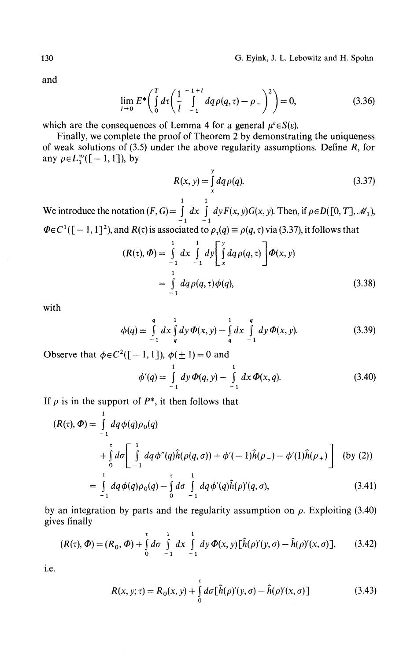and

$$
\lim_{l \to 0} E^* \bigg( \int_0^T d\tau \bigg( \frac{1}{l} \int_{-1}^{-1+l} dq \rho(q, \tau) - \rho_- \bigg)^2 \bigg) = 0, \tag{3.36}
$$

which are the consequences of Lemma 4 for a general  $\mu^{\varepsilon} \in S(\varepsilon)$ .

Finally, we complete the proof of Theorem 2 by demonstrating the uniqueness of weak solutions of (3.5) under the above regularity assumptions. Define *R,* for any  $\rho \in L_1^{\infty}([-1,1])$ , by

$$
R(x, y) = \int_{x}^{y} dq \rho(q).
$$
 (3.37)

1 1 We introduce the notation  $(F, G) = \int dx \int dy F(x, y)G(x, y)$ . Then, if  $\rho \in D([0, T], \mathcal{M}_1)$ .  $Z^1([-1, 1]^2)$ , and  $R(\tau)$  is associated to  $\rho_{\tau}(q) \equiv \rho(q, \tau)$  via (3.37), it follows that

$$
(R(\tau), \Phi) = \int_{-1}^{1} dx \int_{-1}^{1} dy \left[ \int_{x}^{y} dq \rho(q, \tau) \right] \Phi(x, y)
$$
  
= 
$$
\int_{-1}^{1} dq \rho(q, \tau) \phi(q),
$$
 (3.38)

with

$$
\phi(q) \equiv \int_{-1}^{q} dx \int_{q}^{1} dy \,\Phi(x, y) - \int_{q}^{1} dx \int_{-1}^{q} dy \,\Phi(x, y). \tag{3.39}
$$

Observe that  $\phi \in C^2([-1, 1])$ ,  $\phi(\pm 1) = 0$  and

$$
\phi'(q) = \int_{-1}^{1} dy \,\Phi(q, y) - \int_{-1}^{1} dx \,\Phi(x, q). \tag{3.40}
$$

If  $\rho$  is in the support of  $P^*$ , it then follows that

1

$$
(R(\tau), \Phi) = \int_{-1}^{\tau} dq \phi(q) \rho_0(q)
$$
  
+ 
$$
\int_{0}^{\tau} d\sigma \left[ \int_{-1}^{1} dq \phi''(q) \hat{h}(\rho(q, \sigma)) + \phi'(-1) \hat{h}(\rho_{-}) - \phi'(1) \hat{h}(\rho_{+}) \right]
$$
 (by (2))  
= 
$$
\int_{0}^{1} dq \phi(q) \rho_0(q) - \int_{0}^{\tau} d\sigma \int_{0}^{1} dq \phi'(q) \hat{h}(\rho)'(q, \sigma),
$$
 (3.41)

$$
\begin{array}{ccc}\n-1 & 0 & -1 \\
\text{by an integration by parts and the regularity assumption on } \rho. \text{ Exploiting (3.40)} \\
\text{gives finally}\n\end{array}
$$

$$
(R(\tau), \Phi) = (R_0, \Phi) + \int_0^{\tau} d\sigma \int_{-1}^{1} dx \int_{-1}^{1} dy \Phi(x, y) [\hat{h}(\rho)'(y, \sigma) - \hat{h}(\rho)'(x, \sigma)], \qquad (3.42)
$$

i.e.

$$
R(x, y; \tau) = R_0(x, y) + \int_0^t d\sigma [\hat{h}(\rho)'(y, \sigma) - \hat{h}(\rho)'(x, \sigma)] \qquad (3.43)
$$